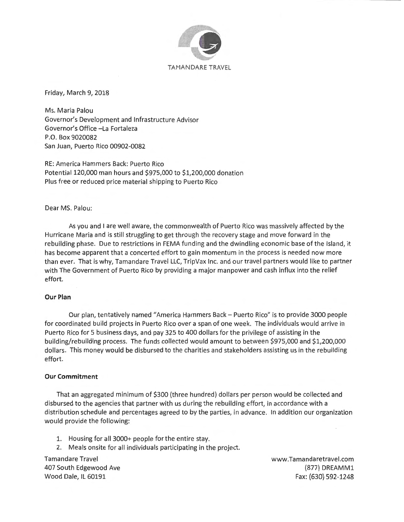

Friday, March 9, 2018

Ms. Maria Palau Governor's Development and Infrastructure Advisor Governor's Office -La Fortaleza P.O. Box 9020082 San Juan, Puerto Rico 00902-0082

RE: America Hammers Back: Puerto Rico Potential 120,000 man hours and \$975,000 to \$1,200,000 donation Plus free or reduced price material shipping to Puerto Rico

## Dear MS. Palau:

As you and I are well aware, the commonwealth of Puerto Rico was massively affected by the Hurricane Maria and is still struggling to get through the recovery stage and move forward in the rebuilding phase. Due to restrictions in FEMA funding and the dwindling economic base of the Island, it has become apparent that a concerted effort to gain momentum in the process is needed now more than ever. That is why, Tamandare Travel LLC, TripVax Inc. and our travel partners would like to partner with The Government of Puerto Rico by providing a major manpower and cash influx into the relief effort.

### **Our Plan**

Our plan, tentatively named "America Hammers Back - Puerto Rico" is to provide 3000 people for coordinated build projects in Puerto Rico over a span of one week. The individuals would arrive in Puerto Rico for 5 business days, and pay 325 to 400 dollars for the privilege of assisting in the building/rebuilding process. The funds collected would amount to between \$975,000 and \$1,200,000 dollars. This money would be disbursed to the charities and stakeholders assisting us in the rebuilding effort.

### **Our Commitment**

That an aggregated minimum of \$300 (three hundred) dollars per person would be collected and disbursed to the agencies that partner with us during the rebuilding effort, in accordance with a distribution schedule and percentages agreed to by the parties, in advance. In addition our organization would provide the following:

1. Housing for all 3000+ people for the entire stay.

2. Meals onsite for all individuals participating in the project.

Tamandare Travel 407 South Edgewood Ave Wood Dale, IL 60191

www.Tamandaretravel .com (877) DREAMM1 Fax: (630) 592-1248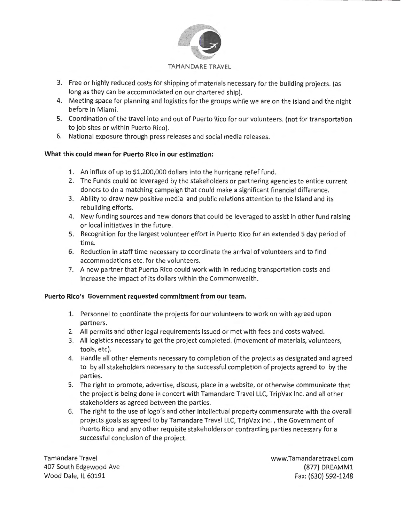

### TAMANDARE TRAVEL

- 3. Free or highly reduced costs for shipping of materials necessary for the building projects. (as long as they can be accommodated on our chartered ship).
- 4. Meeting space for planning and logistics for the groups while we are on the island and the night before in Miami.
- 5. Coordination of the travel into and out of Puerto Rico for our volunteers. (not for transportation to job sites or within Puerto Rico).
- 6. National exposure through press releases and social media releases.

# **What this could mean for Puerto Rico in our estimation:**

- 1. An influx of up to \$1,200,000 dollars into the hurricane relieffund.
- 2. The Funds could be leveraged by the stakeholders or partnering agencies to entice current donors to do a matching campaign that could make a significant financial difference.
- 3. Ability to draw new positive media and public relations attention to the Island and its rebuilding efforts.
- 4. New funding sources and new donors that could be leveraged to assist in other fund raising or local initiatives in the future.
- 5. Recognition for the largest volunteer effort in Puerto Rico for an extended 5 day period of time.
- 6. Reduction in staff time necessary to coordinate the arrival of volunteers and to find accommodations etc. for the volunteers.
- 7. A new partner that Puerto Rico could work with in reducing transportation costs and increase the impact of its dollars within the Commonwealth.

# Puerto Rico's Government requested commitment from our team.

- 1. Personnel to coordinate the projects for our volunteers to work on with agreed upon partners.
- 2. All permits and other legal requirements issued or met with fees and costs waived.
- 3. All logistics necessary to get the project completed . (movement of materials, volunteers, tools, etc).
- 4. Handle all other elements necessary to completion of the projects as designated and agreed to by all stakeholders necessary to the successful completion of projects agreed to by the parties.
- 5. The right to promote, advertise, discuss, place in a website, or otherwise communicate that the project is being done in concert with Tamandare Travel LLC, TripVax Inc. and all other stakeholders as agreed between the parties.
- 6. The right to the use of logo's and other intellectual property commensurate with the overall projects goals as agreed to by Tamandare Travel LLC, TripVax Inc. , the Government of Puerto Rico and any other requisite stakeholders or contracting parties necessary for a successful conclusion of the project.

Tamandare Travel 407 South Edgewood Ave Wood Dale, IL 60191

www.Tamandaretravel.com (877) DREAMM1 Fax: (630) 592-1248